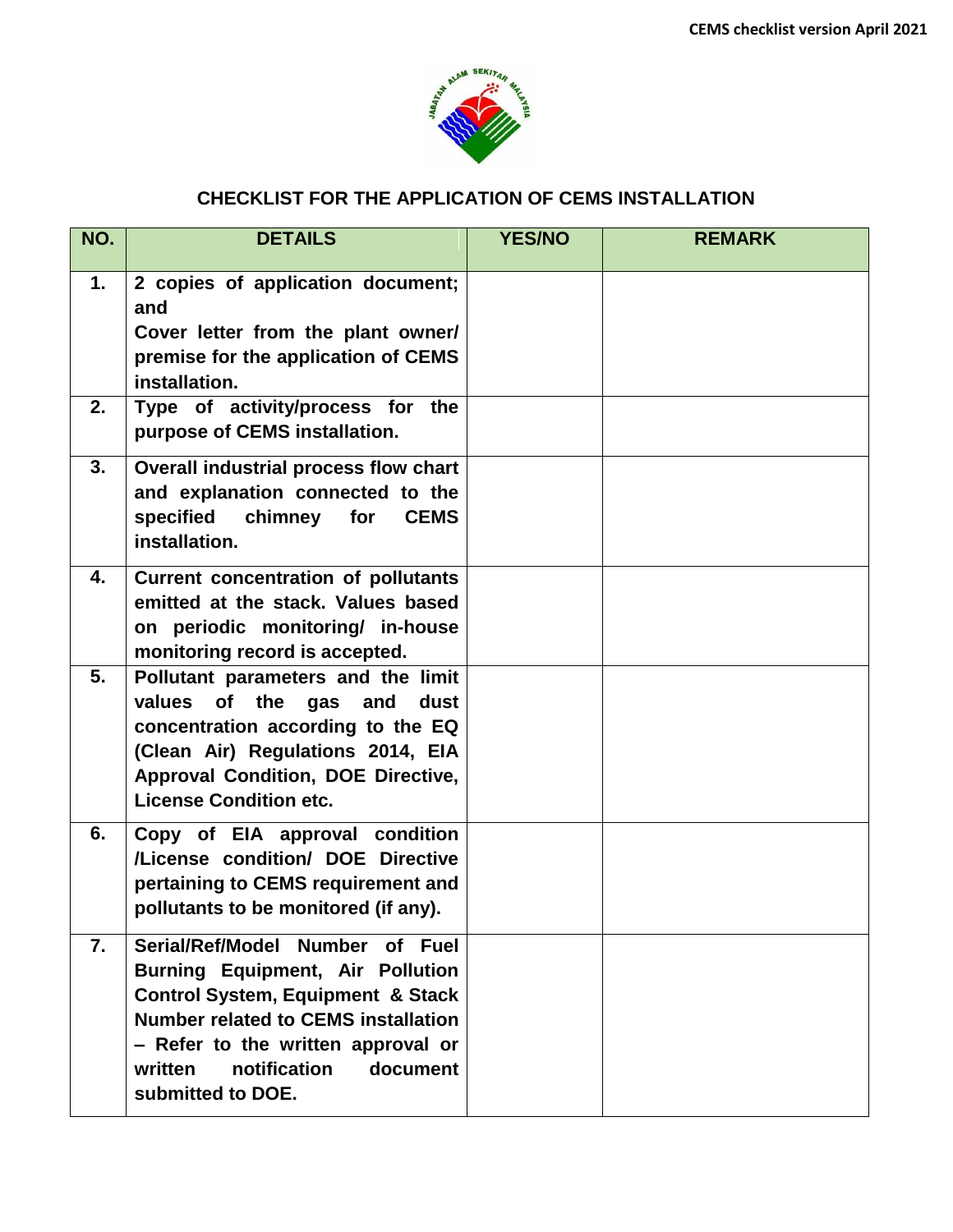

## **CHECKLIST FOR THE APPLICATION OF CEMS INSTALLATION**

| NO. | <b>DETAILS</b>                                                                                                                                                                                                                                                             | <b>YES/NO</b> | <b>REMARK</b> |
|-----|----------------------------------------------------------------------------------------------------------------------------------------------------------------------------------------------------------------------------------------------------------------------------|---------------|---------------|
| 1.  | 2 copies of application document;<br>and<br>Cover letter from the plant owner/<br>premise for the application of CEMS<br>installation.                                                                                                                                     |               |               |
| 2.  | Type of activity/process for the<br>purpose of CEMS installation.                                                                                                                                                                                                          |               |               |
| 3.  | Overall industrial process flow chart<br>and explanation connected to the<br>specified chimney for<br><b>CEMS</b><br>installation.                                                                                                                                         |               |               |
| 4.  | <b>Current concentration of pollutants</b><br>emitted at the stack. Values based<br>on periodic monitoring/ in-house<br>monitoring record is accepted.                                                                                                                     |               |               |
| 5.  | Pollutant parameters and the limit<br>values<br>of the gas<br>and<br>dust<br>concentration according to the EQ<br>(Clean Air) Regulations 2014, EIA<br>Approval Condition, DOE Directive,<br><b>License Condition etc.</b>                                                 |               |               |
| 6.  | Copy of EIA approval condition<br>/License condition/ DOE Directive<br>pertaining to CEMS requirement and<br>pollutants to be monitored (if any).                                                                                                                          |               |               |
| 7.  | Serial/Ref/Model Number of Fuel<br><b>Burning Equipment, Air Pollution</b><br><b>Control System, Equipment &amp; Stack</b><br><b>Number related to CEMS installation</b><br>- Refer to the written approval or<br>notification<br>written<br>document<br>submitted to DOE. |               |               |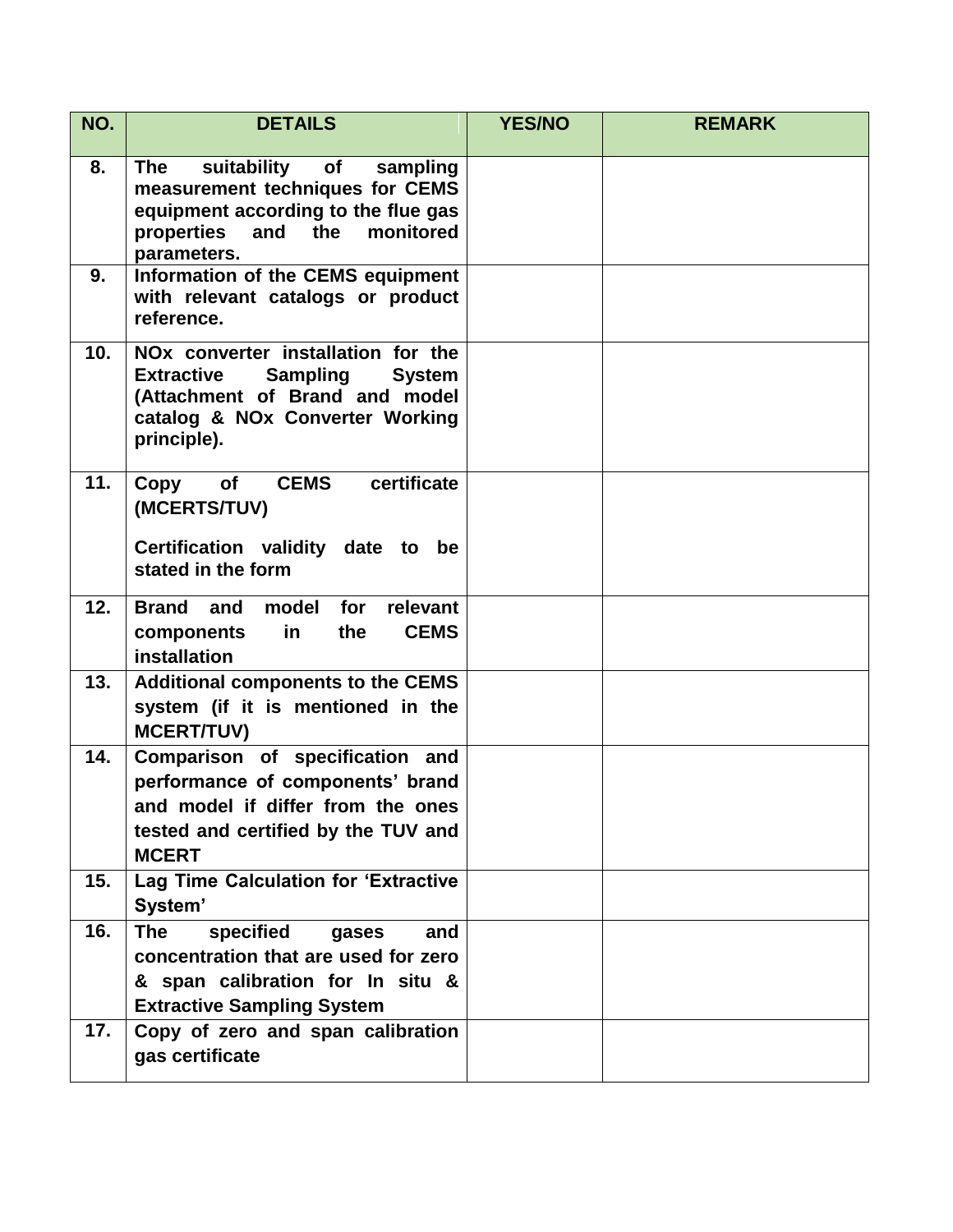| NO. | <b>DETAILS</b>                                                                                                                                                                              | <b>YES/NO</b> | <b>REMARK</b> |
|-----|---------------------------------------------------------------------------------------------------------------------------------------------------------------------------------------------|---------------|---------------|
| 8.  | suitability of<br>The<br>sampling<br>measurement techniques for CEMS<br>equipment according to the flue gas<br>and<br>monitored<br>properties<br>the<br>parameters.                         |               |               |
| 9.  | Information of the CEMS equipment<br>with relevant catalogs or product<br>reference.                                                                                                        |               |               |
| 10. | NO <sub>x</sub> converter installation for the<br><b>Sampling</b><br><b>Extractive</b><br><b>System</b><br>(Attachment of Brand and model<br>catalog & NOx Converter Working<br>principle). |               |               |
| 11. | <b>CEMS</b><br>certificate<br>Copy<br>of<br>(MCERTS/TUV)<br>Certification validity date to be<br>stated in the form                                                                         |               |               |
| 12. | relevant<br><b>Brand</b> and<br>model for<br><b>CEMS</b><br>in<br>the<br>components<br>installation                                                                                         |               |               |
| 13. | <b>Additional components to the CEMS</b><br>system (if it is mentioned in the<br><b>MCERT/TUV)</b>                                                                                          |               |               |
| 14. | Comparison of specification and<br>performance of components' brand<br>and model if differ from the ones<br>tested and certified by the TUV and<br><b>MCERT</b>                             |               |               |
| 15. | Lag Time Calculation for 'Extractive<br>System'                                                                                                                                             |               |               |
| 16. | <b>The</b><br>specified<br>and<br>gases<br>concentration that are used for zero<br>& span calibration for In situ &<br><b>Extractive Sampling System</b>                                    |               |               |
| 17. | Copy of zero and span calibration<br>gas certificate                                                                                                                                        |               |               |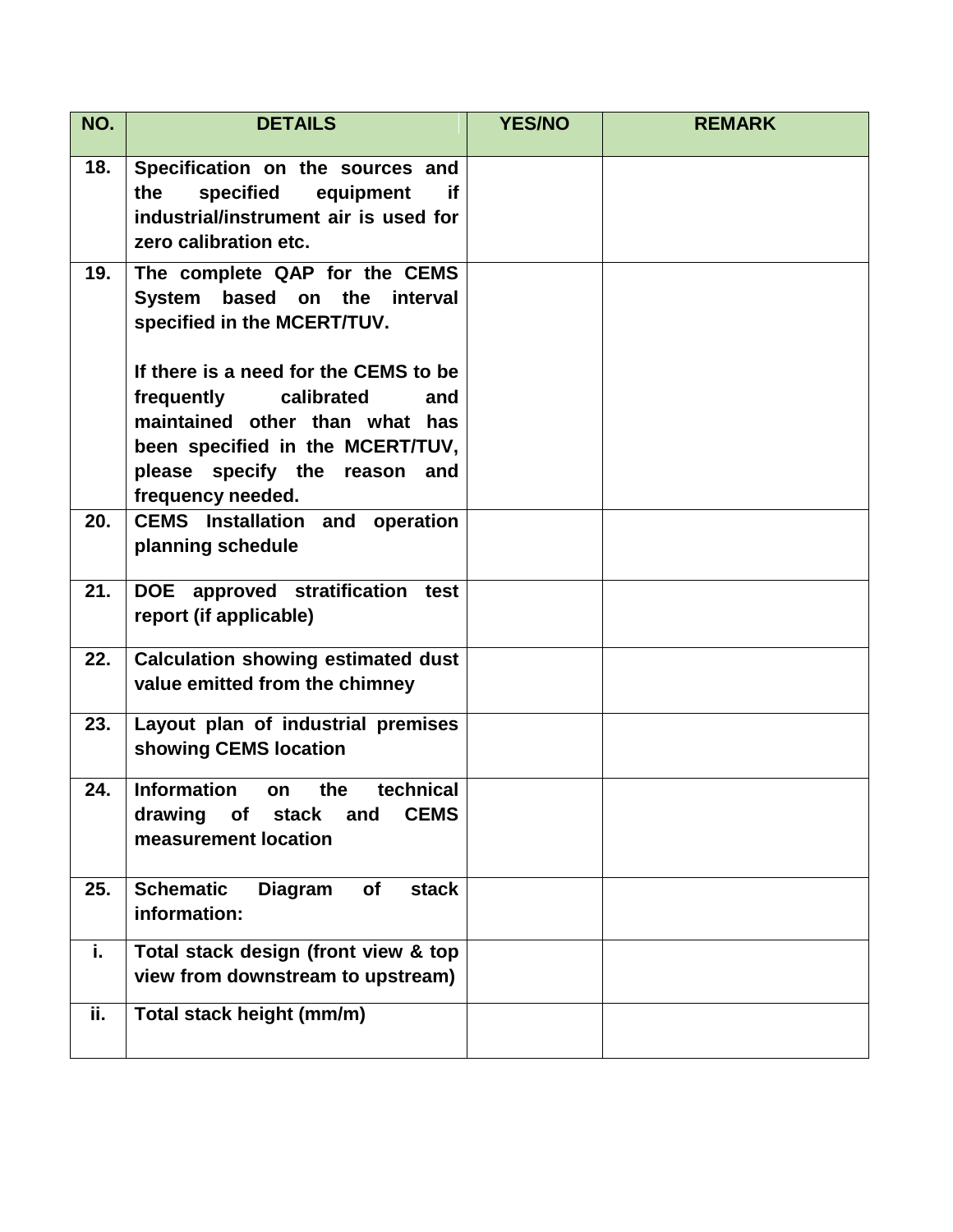| NO. | <b>DETAILS</b>                                                                                                                                                                                       | <b>YES/NO</b> | <b>REMARK</b> |
|-----|------------------------------------------------------------------------------------------------------------------------------------------------------------------------------------------------------|---------------|---------------|
| 18. | Specification on the sources and<br>the<br>specified<br>equipment<br>if.<br>industrial/instrument air is used for<br>zero calibration etc.                                                           |               |               |
| 19. | The complete QAP for the CEMS<br>System based on the interval<br>specified in the MCERT/TUV.                                                                                                         |               |               |
|     | If there is a need for the CEMS to be<br>frequently<br>calibrated<br>and<br>maintained other than what has<br>been specified in the MCERT/TUV,<br>please specify the reason and<br>frequency needed. |               |               |
| 20. | <b>CEMS</b> Installation and operation<br>planning schedule                                                                                                                                          |               |               |
| 21. | DOE approved stratification test<br>report (if applicable)                                                                                                                                           |               |               |
| 22. | <b>Calculation showing estimated dust</b><br>value emitted from the chimney                                                                                                                          |               |               |
| 23. | Layout plan of industrial premises<br>showing CEMS location                                                                                                                                          |               |               |
| 24. | technical<br><b>Information</b><br>the<br>on<br>drawing<br>of<br><b>stack</b><br><b>CEMS</b><br>and<br>measurement location                                                                          |               |               |
| 25. | <b>Schematic</b><br><b>Diagram</b><br><b>of</b><br>stack<br>information:                                                                                                                             |               |               |
| i.  | Total stack design (front view & top<br>view from downstream to upstream)                                                                                                                            |               |               |
| ii. | Total stack height (mm/m)                                                                                                                                                                            |               |               |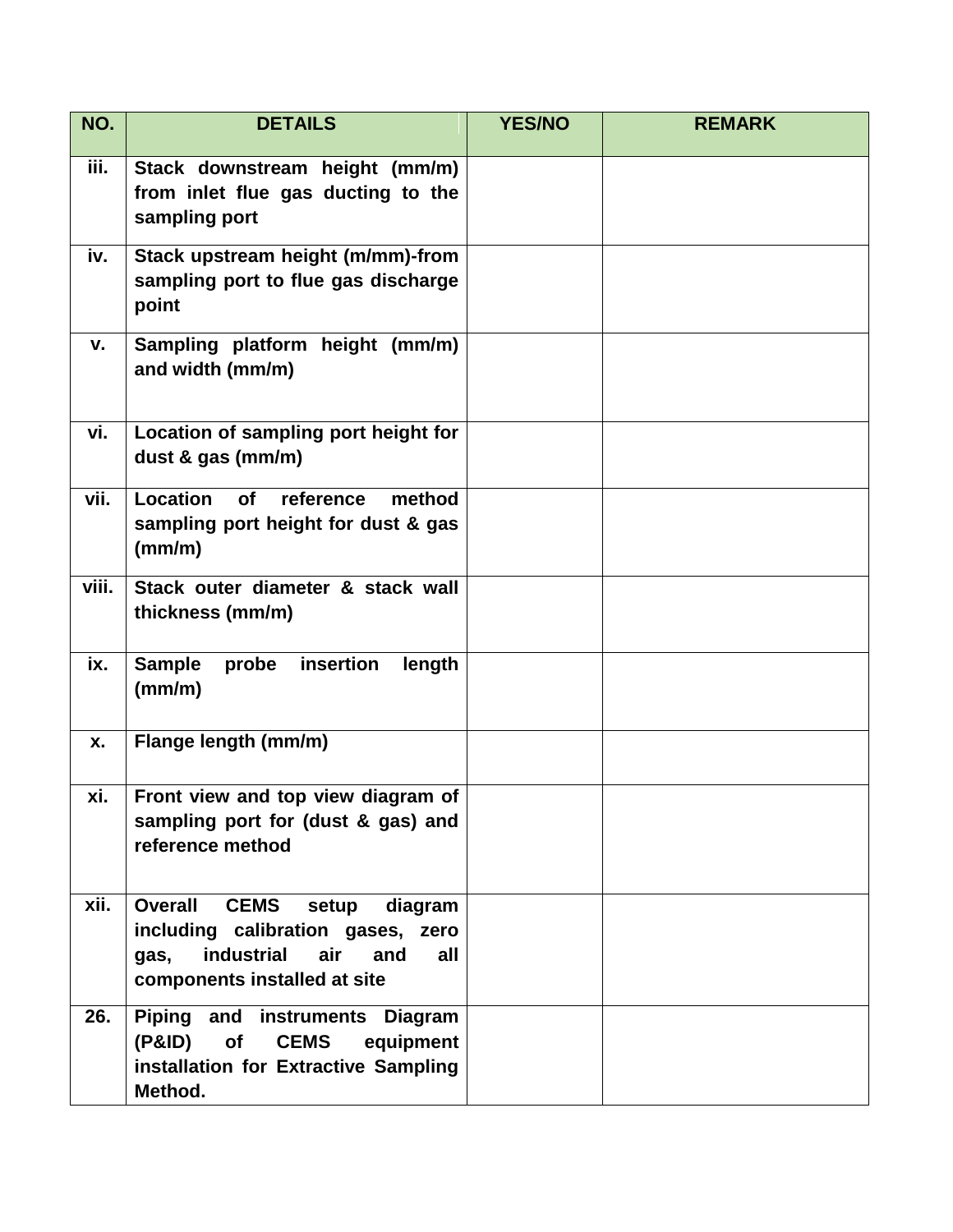| NO.   | <b>DETAILS</b>                                                                                                                                                 | <b>YES/NO</b> | <b>REMARK</b> |
|-------|----------------------------------------------------------------------------------------------------------------------------------------------------------------|---------------|---------------|
| iii.  | Stack downstream height (mm/m)<br>from inlet flue gas ducting to the<br>sampling port                                                                          |               |               |
| iv.   | Stack upstream height (m/mm)-from<br>sampling port to flue gas discharge<br>point                                                                              |               |               |
| v.    | Sampling platform height (mm/m)<br>and width (mm/m)                                                                                                            |               |               |
| vi.   | Location of sampling port height for<br>dust & gas (mm/m)                                                                                                      |               |               |
| vii.  | Location<br>of<br>reference<br>method<br>sampling port height for dust & gas<br>(mm/m)                                                                         |               |               |
| viii. | Stack outer diameter & stack wall<br>thickness (mm/m)                                                                                                          |               |               |
| ix.   | insertion<br><b>Sample</b><br>probe<br>length<br>(mm/m)                                                                                                        |               |               |
| X.    | Flange length (mm/m)                                                                                                                                           |               |               |
| xi.   | Front view and top view diagram of<br>sampling port for (dust & gas) and<br>reference method                                                                   |               |               |
| xii.  | <b>Overall</b><br><b>CEMS</b><br>diagram<br>setup<br>including calibration gases, zero<br>industrial air<br>gas,<br>and<br>all<br>components installed at site |               |               |
| 26.   | Piping and instruments Diagram<br>(P&ID)<br>of<br><b>CEMS</b><br>equipment<br>installation for Extractive Sampling<br>Method.                                  |               |               |